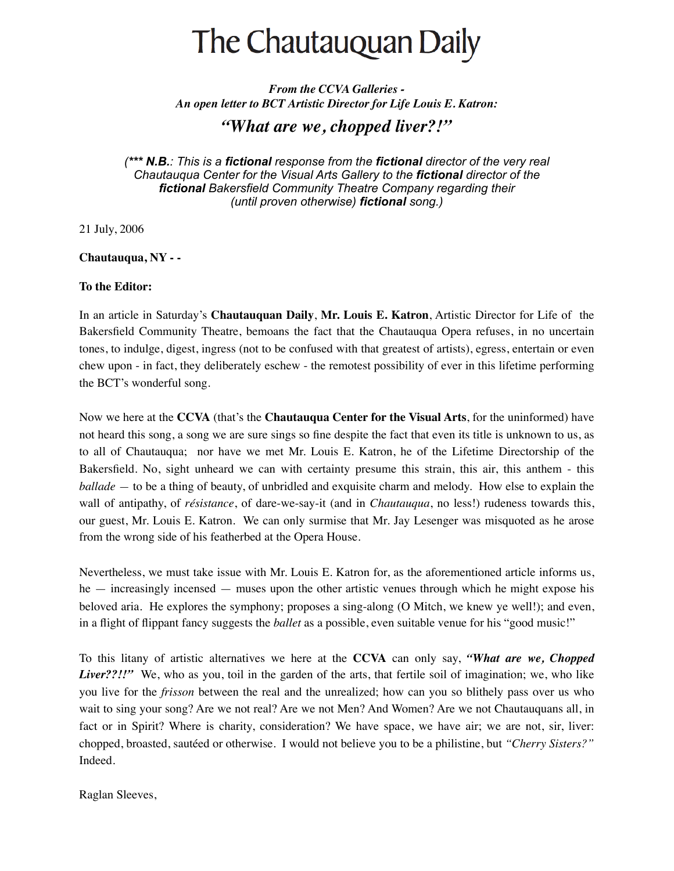## The Chautauquan Daily

*From the CCVA Galleries - An open letter to BCT Artistic Director for Life Louis E. Katron:*

## *"What are we, chopped liver?!"*

*(\*\*\* N.B.: This is a fictional response from the fictional director of the very real Chautauqua Center for the Visual Arts Gallery to the fictional director of the fictional Bakersfield Community Theatre Company regarding their (until proven otherwise) fictional song.)*

21 July, 2006

## **Chautauqua, NY - -**

## **To the Editor:**

In an article in Saturday's **Chautauquan Daily**, **Mr. Louis E. Katron**, Artistic Director for Life of the Bakersfield Community Theatre, bemoans the fact that the Chautauqua Opera refuses, in no uncertain tones, to indulge, digest, ingress (not to be confused with that greatest of artists), egress, entertain or even chew upon - in fact, they deliberately eschew - the remotest possibility of ever in this lifetime performing the BCT's wonderful song.

Now we here at the **CCVA** (that's the **Chautauqua Center for the Visual Arts**, for the uninformed) have not heard this song, a song we are sure sings so fine despite the fact that even its title is unknown to us, as to all of Chautauqua; nor have we met Mr. Louis E. Katron, he of the Lifetime Directorship of the Bakersfield. No, sight unheard we can with certainty presume this strain, this air, this anthem - this *ballade —* to be a thing of beauty, of unbridled and exquisite charm and melody. How else to explain the wall of antipathy, of *résistance*, of dare-we-say-it (and in *Chautauqua*, no less!) rudeness towards this, our guest, Mr. Louis E. Katron. We can only surmise that Mr. Jay Lesenger was misquoted as he arose from the wrong side of his featherbed at the Opera House.

Nevertheless, we must take issue with Mr. Louis E. Katron for, as the aforementioned article informs us, he — increasingly incensed — muses upon the other artistic venues through which he might expose his beloved aria. He explores the symphony; proposes a sing-along (O Mitch, we knew ye well!); and even, in a flight of flippant fancy suggests the *ballet* as a possible, even suitable venue for his "good music!"

To this litany of artistic alternatives we here at the **CCVA** can only say, *"What are we, Chopped Liver??!!"* We, who as you, toil in the garden of the arts, that fertile soil of imagination; we, who like you live for the *frisson* between the real and the unrealized; how can you so blithely pass over us who wait to sing your song? Are we not real? Are we not Men? And Women? Are we not Chautauquans all, in fact or in Spirit? Where is charity, consideration? We have space, we have air; we are not, sir, liver: chopped, broasted, sautéed or otherwise. I would not believe you to be a philistine, but *"Cherry Sisters?"*  Indeed.

Raglan Sleeves,